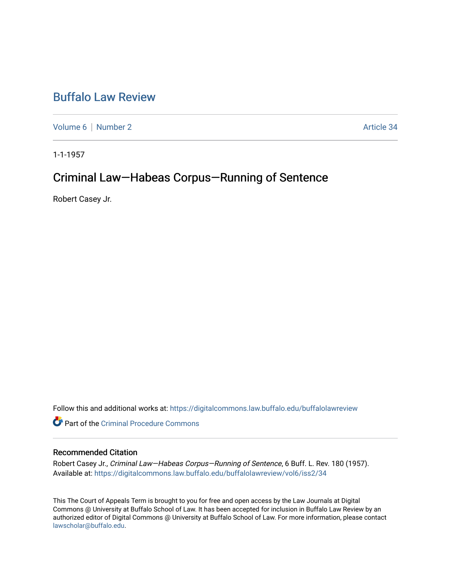## [Buffalo Law Review](https://digitalcommons.law.buffalo.edu/buffalolawreview)

[Volume 6](https://digitalcommons.law.buffalo.edu/buffalolawreview/vol6) | [Number 2](https://digitalcommons.law.buffalo.edu/buffalolawreview/vol6/iss2) Article 34

1-1-1957

# Criminal Law—Habeas Corpus—Running of Sentence

Robert Casey Jr.

Follow this and additional works at: [https://digitalcommons.law.buffalo.edu/buffalolawreview](https://digitalcommons.law.buffalo.edu/buffalolawreview?utm_source=digitalcommons.law.buffalo.edu%2Fbuffalolawreview%2Fvol6%2Fiss2%2F34&utm_medium=PDF&utm_campaign=PDFCoverPages) 

**C** Part of the Criminal Procedure Commons

## Recommended Citation

Robert Casey Jr., Criminal Law-Habeas Corpus-Running of Sentence, 6 Buff. L. Rev. 180 (1957). Available at: [https://digitalcommons.law.buffalo.edu/buffalolawreview/vol6/iss2/34](https://digitalcommons.law.buffalo.edu/buffalolawreview/vol6/iss2/34?utm_source=digitalcommons.law.buffalo.edu%2Fbuffalolawreview%2Fvol6%2Fiss2%2F34&utm_medium=PDF&utm_campaign=PDFCoverPages) 

This The Court of Appeals Term is brought to you for free and open access by the Law Journals at Digital Commons @ University at Buffalo School of Law. It has been accepted for inclusion in Buffalo Law Review by an authorized editor of Digital Commons @ University at Buffalo School of Law. For more information, please contact [lawscholar@buffalo.edu](mailto:lawscholar@buffalo.edu).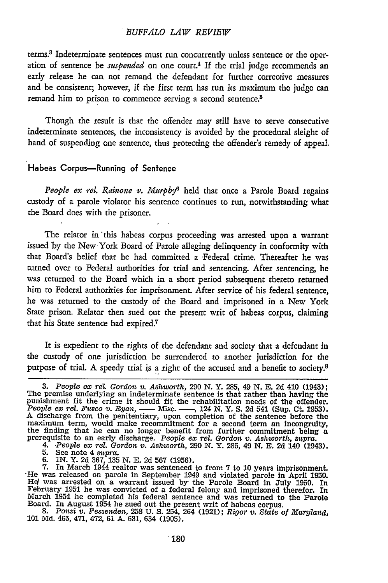### *BUFFALO LAW REVIEW*

terms.3 Indeterminate sentences must run concurrently unless sentence or the operation of sentence be *suspended* on one court.4 **If** the trial judge recommends an early release he can not remand the defendant for further corrective measures and be consistent; however, if the first term has run its maximum the judge can remand him to prison to commence serving a second sentence.<sup>5</sup>

Though the result is that the offender may still have to serve consecutive indeterminate sentences, the inconsistency is avoided **by** the procedural sleight of hand of suspending one sentence, thus protecting the offender's remedy of appeal.

## Habeas Corpus-Running of Sentence

People ex rel. Rainone v. Murphy<sup>6</sup> held that once a Parole Board regains custody of a parole violator his sentence continues to run, notwithstanding what the Board does with the prisoner.

The relator in this habeas corpus proceeding was arrested upon a warrant issued by the New York Board of Parole alleging delinquency in conformity with that Board's belief that he had committed a Federal crime. Thereafter he was turned over to Federal authorities for trial and sentencing. After sentencing, he was returned to the Board which in a short period subsequent thereto returned him to Federal authorities for imprisonment. After service of his federal sentence, he was returned to the custody of the Board and imprisoned in a New York State prison. Relator then sued out the present writ of habeas corpus, claiming that his State sentence had expired.<sup>7</sup>

It is expedient to the rights of the defendant and society that a defendant in the custody of one jurisdiction be surrendered to another jurisdiction for the purpose of trial. A speedy trial is a right of the accused and a benefit to society.<sup>8</sup>

**<sup>3.</sup>** *People ex rel. Gordon v. Ashworth,* **290 N.** Y. 285, 49 **N. E.** 2d 410 (1943); The premise underlying an indeterminate sentence is that rather than having the punishment fit the crime it should fit the rehabilitation needs of the offender. *People ex rel. Fusco v. Ryan, -* Misc. - , 124 **N.** *Y.* **S.** 2d 541 (Sup. Ct. **1953).** A discharge from the penitentiary, upon completion of the sentence before the maximum term, would make recommitment for a second term an incogruity<br>the finding that he can no longer benefit from further commitment being a<br>prerequisite to an early discharge. People ex rel. Gordon v. Ashworth, supra.<br>

<sup>5.</sup> See note 4 supra.<br>6. IN. Y. 2d 367, 135 N. E. 2d 567 (1956).<br>7. In March 1944 realtor was sentenced to from 7 to 10 years imprisonment.<br>The was released on parole in September 1949 and violated parole in April 1950. **HV** was arrested on a warrant issued by the Parole Board in July 1950. In February 1951 he was convicted of a federal felony and imprisoned therefor. In Narch 1954 he completed his federal sentence and was returned to the Parole<br>Board. In August 1954 he sued out the present writ of habeas corpus.<br>8. Ponzi v. Fessenden, 258 U. S. 254, 264 (1921); Rigor v. State of Maryland,